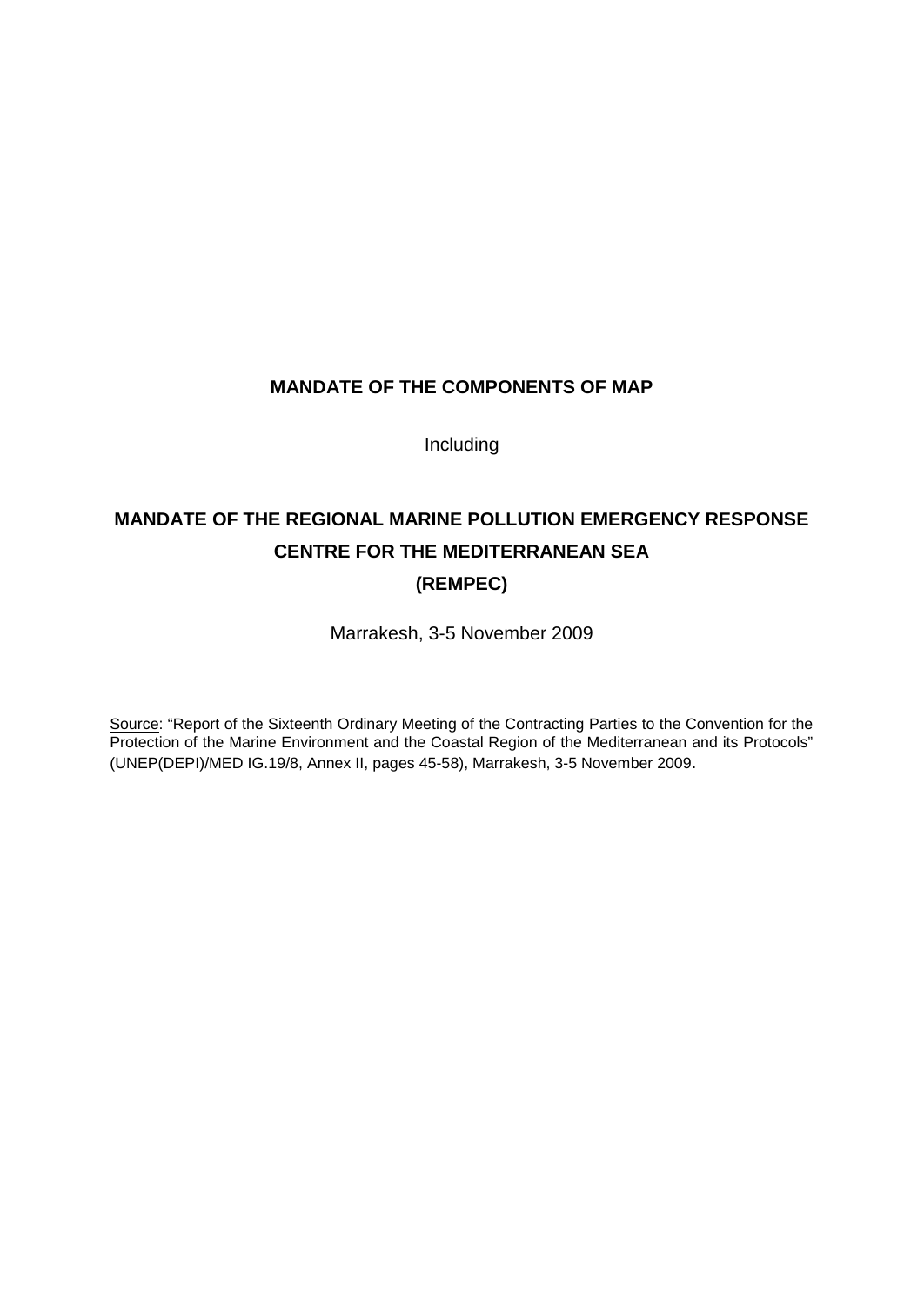# **MANDATE OF THE COMPONENTS OF MAP**

Including

# **MANDATE OF THE REGIONAL MARINE POLLUTION EMERGENCY RESPONSE CENTRE FOR THE MEDITERRANEAN SEA**

# **(REMPEC)**

Marrakesh, 3-5 November 2009

Source: "Report of the Sixteenth Ordinary Meeting of the Contracting Parties to the Convention for the Protection of the Marine Environment and the Coastal Region of the Mediterranean and its Protocols" (UNEP(DEPI)/MED IG.19/8, Annex II, pages 45-58), Marrakesh, 3-5 November 2009.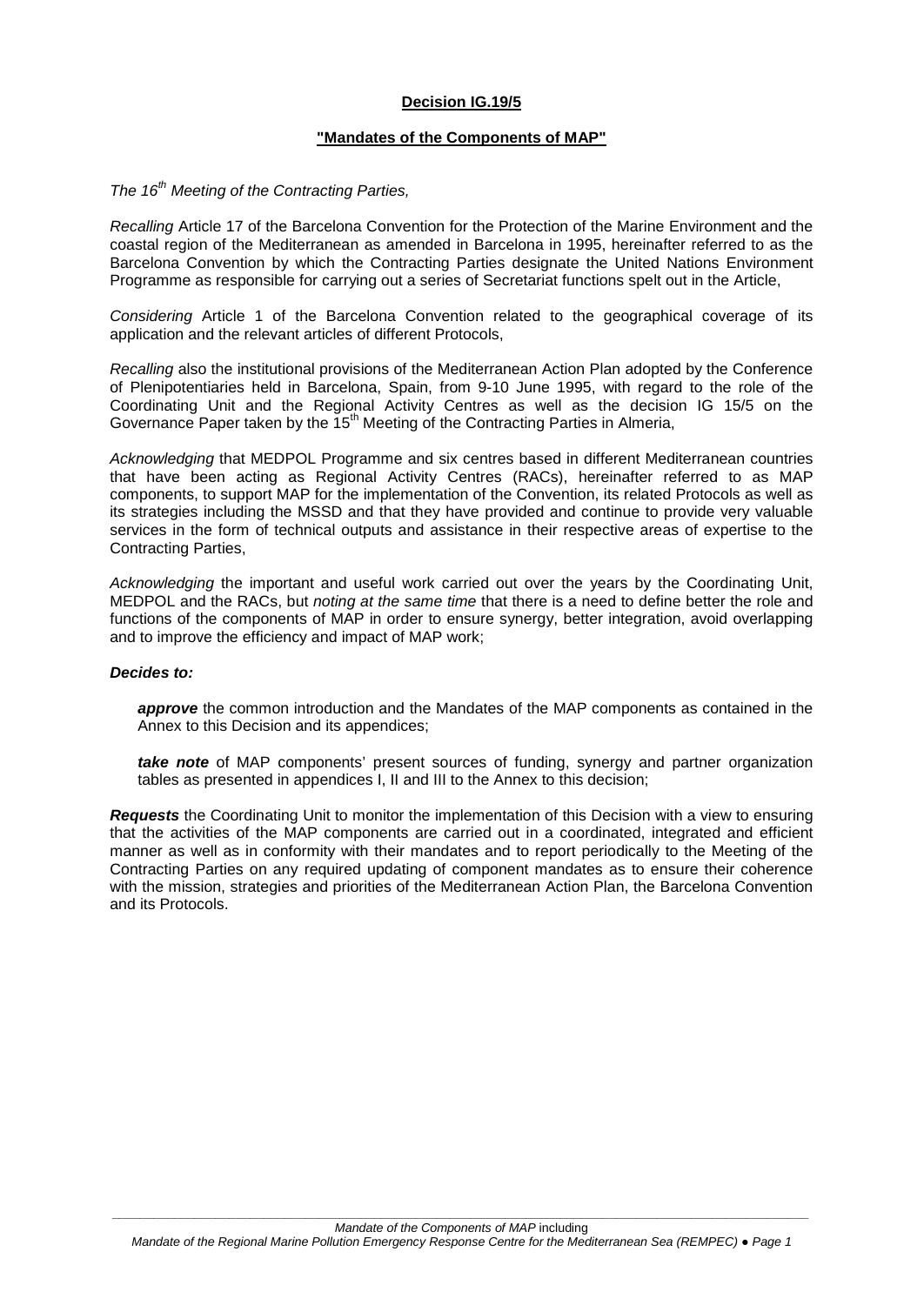#### **Decision IG.19/5**

#### **"Mandates of the Components of MAP"**

#### *The 16th Meeting of the Contracting Parties,*

*Recalling* Article 17 of the Barcelona Convention for the Protection of the Marine Environment and the coastal region of the Mediterranean as amended in Barcelona in 1995, hereinafter referred to as the Barcelona Convention by which the Contracting Parties designate the United Nations Environment Programme as responsible for carrying out a series of Secretariat functions spelt out in the Article,

*Considering* Article 1 of the Barcelona Convention related to the geographical coverage of its application and the relevant articles of different Protocols,

*Recalling* also the institutional provisions of the Mediterranean Action Plan adopted by the Conference of Plenipotentiaries held in Barcelona, Spain, from 9-10 June 1995, with regard to the role of the Coordinating Unit and the Regional Activity Centres as well as the decision IG 15/5 on the Governance Paper taken by the 15<sup>th</sup> Meeting of the Contracting Parties in Almeria,

*Acknowledging* that MEDPOL Programme and six centres based in different Mediterranean countries that have been acting as Regional Activity Centres (RACs), hereinafter referred to as MAP components, to support MAP for the implementation of the Convention, its related Protocols as well as its strategies including the MSSD and that they have provided and continue to provide very valuable services in the form of technical outputs and assistance in their respective areas of expertise to the Contracting Parties,

*Acknowledging* the important and useful work carried out over the years by the Coordinating Unit, MEDPOL and the RACs, but *noting at the same time* that there is a need to define better the role and functions of the components of MAP in order to ensure synergy, better integration, avoid overlapping and to improve the efficiency and impact of MAP work;

#### *Decides to:*

*approve* the common introduction and the Mandates of the MAP components as contained in the Annex to this Decision and its appendices;

*take note* of MAP components' present sources of funding, synergy and partner organization tables as presented in appendices I, II and III to the Annex to this decision;

*Requests* the Coordinating Unit to monitor the implementation of this Decision with a view to ensuring that the activities of the MAP components are carried out in a coordinated, integrated and efficient manner as well as in conformity with their mandates and to report periodically to the Meeting of the Contracting Parties on any required updating of component mandates as to ensure their coherence with the mission, strategies and priorities of the Mediterranean Action Plan, the Barcelona Convention and its Protocols.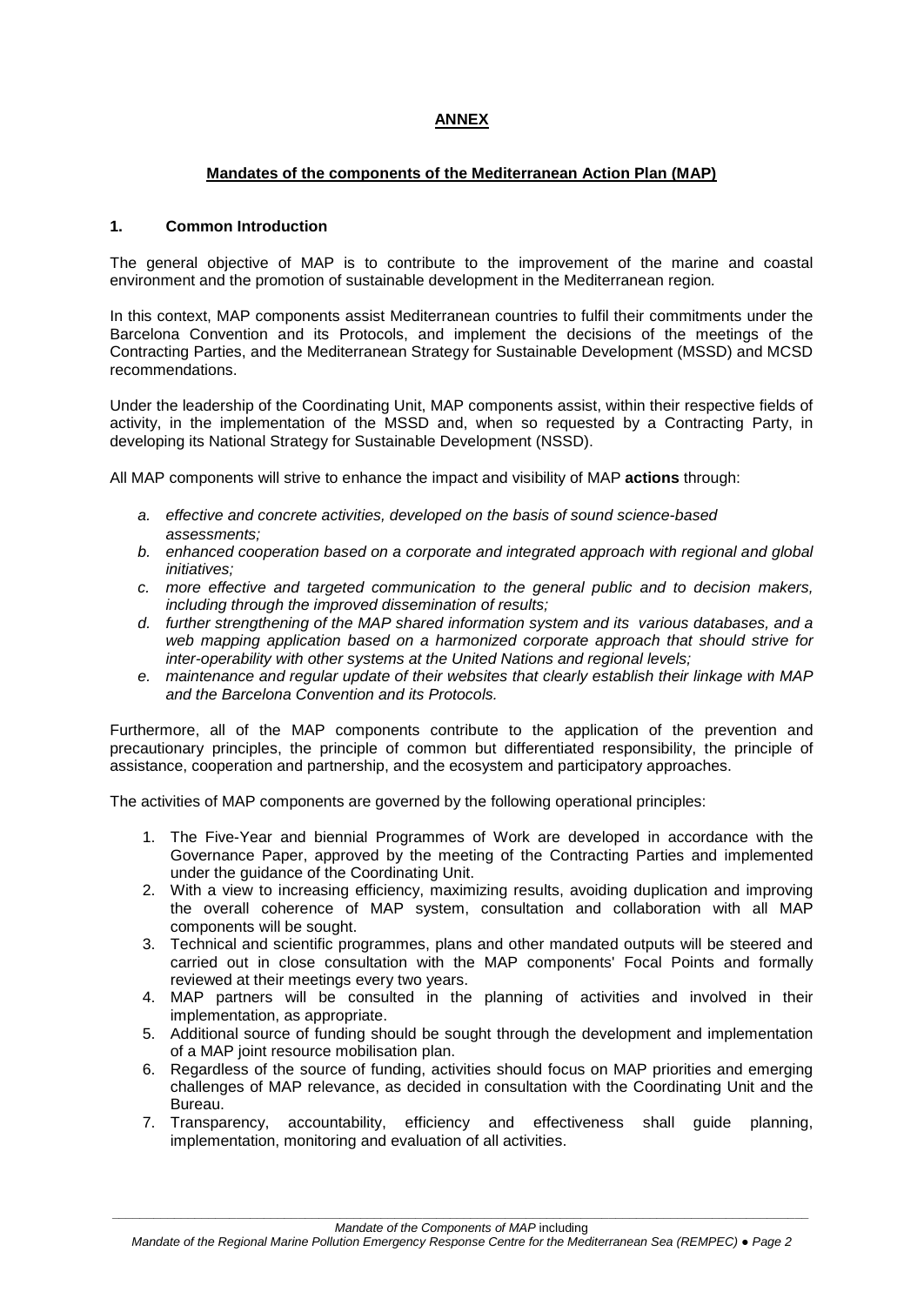## **ANNEX**

#### **Mandates of the components of the Mediterranean Action Plan (MAP)**

#### **1. Common Introduction**

The general objective of MAP is to contribute to the improvement of the marine and coastal environment and the promotion of sustainable development in the Mediterranean region*.*

In this context, MAP components assist Mediterranean countries to fulfil their commitments under the Barcelona Convention and its Protocols, and implement the decisions of the meetings of the Contracting Parties, and the Mediterranean Strategy for Sustainable Development (MSSD) and MCSD recommendations.

Under the leadership of the Coordinating Unit, MAP components assist, within their respective fields of activity, in the implementation of the MSSD and, when so requested by a Contracting Party, in developing its National Strategy for Sustainable Development (NSSD).

All MAP components will strive to enhance the impact and visibility of MAP **actions** through:

- *a. effective and concrete activities, developed on the basis of sound science-based assessments;*
- *b. enhanced cooperation based on a corporate and integrated approach with regional and global initiatives;*
- *c. more effective and targeted communication to the general public and to decision makers, including through the improved dissemination of results;*
- *d. further strengthening of the MAP shared information system and its various databases, and a web mapping application based on a harmonized corporate approach that should strive for inter-operability with other systems at the United Nations and regional levels;*
- *e. maintenance and regular update of their websites that clearly establish their linkage with MAP and the Barcelona Convention and its Protocols.*

Furthermore, all of the MAP components contribute to the application of the prevention and precautionary principles, the principle of common but differentiated responsibility, the principle of assistance, cooperation and partnership, and the ecosystem and participatory approaches.

The activities of MAP components are governed by the following operational principles:

- 1. The Five-Year and biennial Programmes of Work are developed in accordance with the Governance Paper, approved by the meeting of the Contracting Parties and implemented under the guidance of the Coordinating Unit.
- 2. With a view to increasing efficiency, maximizing results, avoiding duplication and improving the overall coherence of MAP system, consultation and collaboration with all MAP components will be sought.
- 3. Technical and scientific programmes, plans and other mandated outputs will be steered and carried out in close consultation with the MAP components' Focal Points and formally reviewed at their meetings every two years.
- 4. MAP partners will be consulted in the planning of activities and involved in their implementation, as appropriate.
- 5. Additional source of funding should be sought through the development and implementation of a MAP joint resource mobilisation plan.
- 6. Regardless of the source of funding, activities should focus on MAP priorities and emerging challenges of MAP relevance, as decided in consultation with the Coordinating Unit and the Bureau.
- 7. Transparency, accountability, efficiency and effectiveness shall guide planning, implementation, monitoring and evaluation of all activities.

*\_\_\_\_\_\_\_\_\_\_\_\_\_\_\_\_\_\_\_\_\_\_\_\_\_\_\_\_\_\_\_\_\_\_\_\_\_\_\_\_\_\_\_\_\_\_\_\_\_\_\_\_\_\_\_\_\_\_\_\_\_\_\_\_\_\_\_\_\_\_\_\_\_\_\_\_\_\_\_\_\_\_\_\_\_\_\_\_\_\_\_\_\_\_\_\_\_\_\_\_\_ Mandate of the Components of MAP* including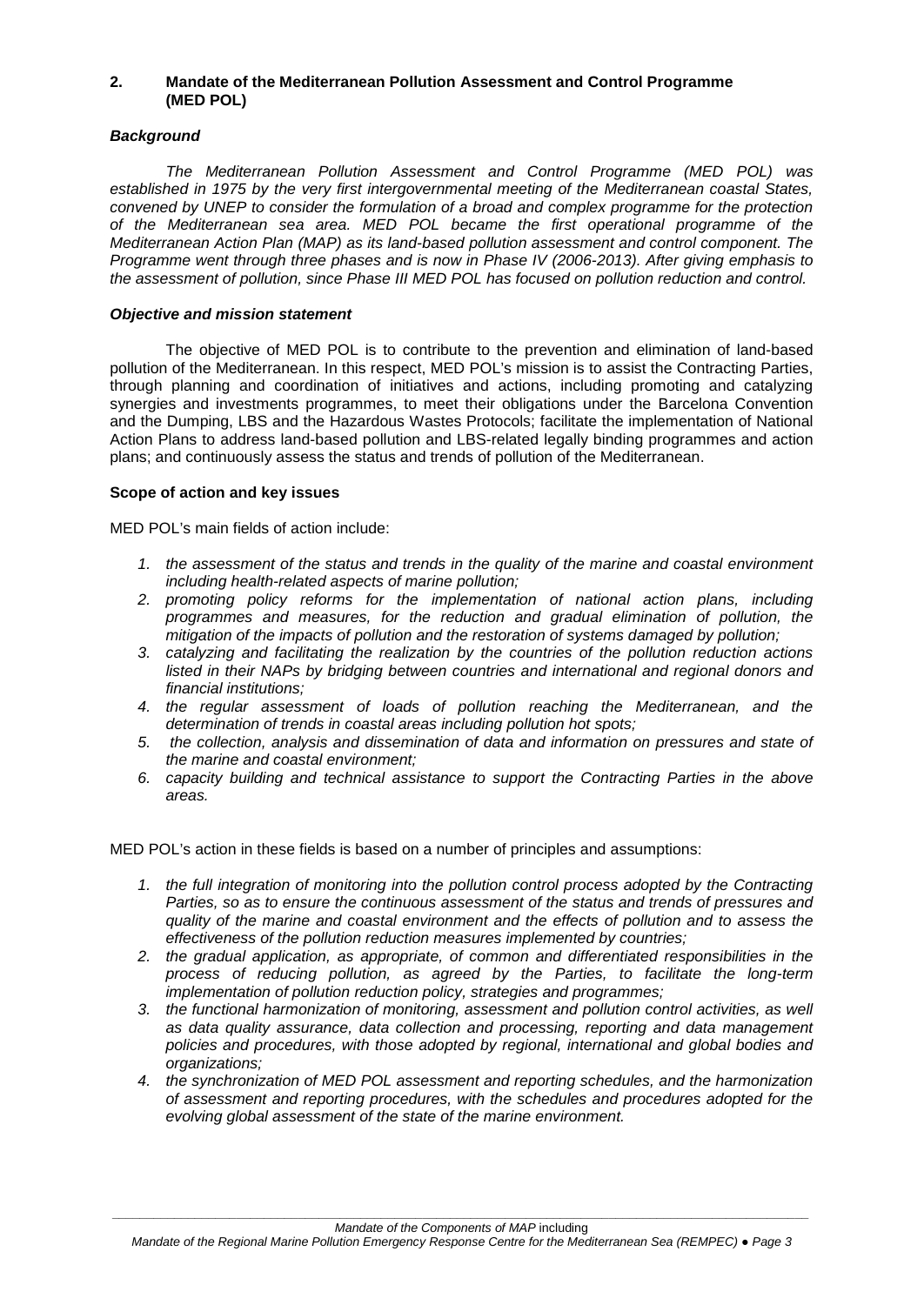#### **2. Mandate of the Mediterranean Pollution Assessment and Control Programme (MED POL)**

#### *Background*

*The Mediterranean Pollution Assessment and Control Programme (MED POL) was established in 1975 by the very first intergovernmental meeting of the Mediterranean coastal States, convened by UNEP to consider the formulation of a broad and complex programme for the protection of the Mediterranean sea area. MED POL became the first operational programme of the Mediterranean Action Plan (MAP) as its land-based pollution assessment and control component. The Programme went through three phases and is now in Phase IV (2006-2013). After giving emphasis to the assessment of pollution, since Phase III MED POL has focused on pollution reduction and control.* 

#### *Objective and mission statement*

The objective of MED POL is to contribute to the prevention and elimination of land-based pollution of the Mediterranean. In this respect, MED POL's mission is to assist the Contracting Parties, through planning and coordination of initiatives and actions, including promoting and catalyzing synergies and investments programmes, to meet their obligations under the Barcelona Convention and the Dumping, LBS and the Hazardous Wastes Protocols; facilitate the implementation of National Action Plans to address land-based pollution and LBS-related legally binding programmes and action plans; and continuously assess the status and trends of pollution of the Mediterranean.

#### **Scope of action and key issues**

MED POL's main fields of action include:

- *1. the assessment of the status and trends in the quality of the marine and coastal environment including health-related aspects of marine pollution;*
- *2. promoting policy reforms for the implementation of national action plans, including programmes and measures, for the reduction and gradual elimination of pollution, the mitigation of the impacts of pollution and the restoration of systems damaged by pollution;*
- *3. catalyzing and facilitating the realization by the countries of the pollution reduction actions listed in their NAPs by bridging between countries and international and regional donors and financial institutions;*
- *4. the regular assessment of loads of pollution reaching the Mediterranean, and the determination of trends in coastal areas including pollution hot spots;*
- *5. the collection, analysis and dissemination of data and information on pressures and state of the marine and coastal environment;*
- *6. capacity building and technical assistance to support the Contracting Parties in the above areas.*

MED POL's action in these fields is based on a number of principles and assumptions:

- *1. the full integration of monitoring into the pollution control process adopted by the Contracting Parties, so as to ensure the continuous assessment of the status and trends of pressures and quality of the marine and coastal environment and the effects of pollution and to assess the effectiveness of the pollution reduction measures implemented by countries;*
- *2. the gradual application, as appropriate, of common and differentiated responsibilities in the process of reducing pollution, as agreed by the Parties, to facilitate the long-term implementation of pollution reduction policy, strategies and programmes;*
- *3. the functional harmonization of monitoring, assessment and pollution control activities, as well as data quality assurance, data collection and processing, reporting and data management policies and procedures, with those adopted by regional, international and global bodies and organizations;*
- *4. the synchronization of MED POL assessment and reporting schedules, and the harmonization of assessment and reporting procedures, with the schedules and procedures adopted for the evolving global assessment of the state of the marine environment.*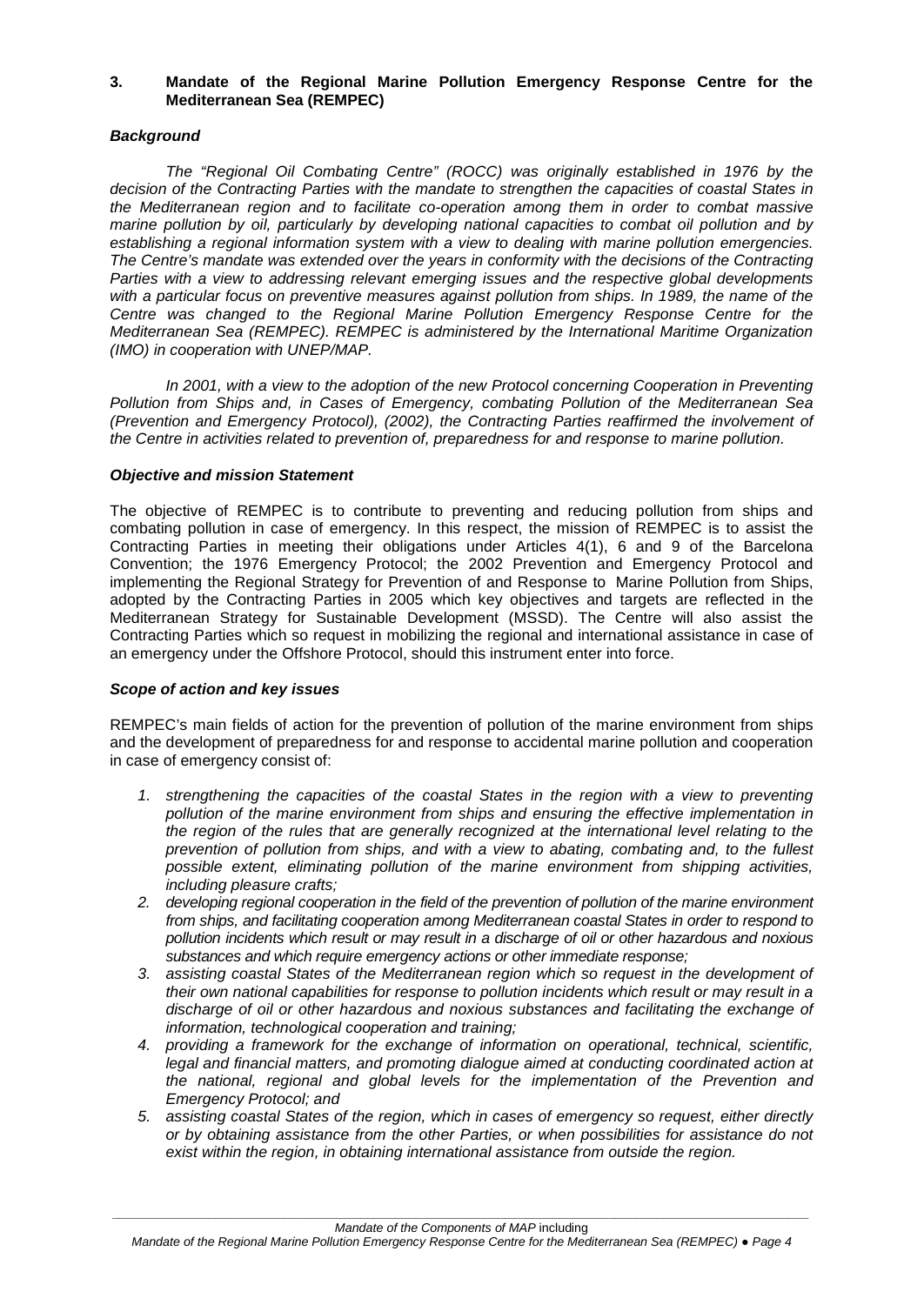#### **3. Mandate of the Regional Marine Pollution Emergency Response Centre for the Mediterranean Sea (REMPEC)**

#### *Background*

*The "Regional Oil Combating Centre" (ROCC) was originally established in 1976 by the decision of the Contracting Parties with the mandate to strengthen the capacities of coastal States in the Mediterranean region and to facilitate co-operation among them in order to combat massive marine pollution by oil, particularly by developing national capacities to combat oil pollution and by establishing a regional information system with a view to dealing with marine pollution emergencies. The Centre's mandate was extended over the years in conformity with the decisions of the Contracting Parties with a view to addressing relevant emerging issues and the respective global developments with a particular focus on preventive measures against pollution from ships. In 1989, the name of the Centre was changed to the Regional Marine Pollution Emergency Response Centre for the Mediterranean Sea (REMPEC). REMPEC is administered by the International Maritime Organization (IMO) in cooperation with UNEP/MAP.*

*In 2001, with a view to the adoption of the new Protocol concerning Cooperation in Preventing Pollution from Ships and, in Cases of Emergency, combating Pollution of the Mediterranean Sea (Prevention and Emergency Protocol), (2002), the Contracting Parties reaffirmed the involvement of the Centre in activities related to prevention of, preparedness for and response to marine pollution.*

#### *Objective and mission Statement*

The objective of REMPEC is to contribute to preventing and reducing pollution from ships and combating pollution in case of emergency. In this respect, the mission of REMPEC is to assist the Contracting Parties in meeting their obligations under Articles 4(1), 6 and 9 of the Barcelona Convention; the 1976 Emergency Protocol; the 2002 Prevention and Emergency Protocol and implementing the Regional Strategy for Prevention of and Response to Marine Pollution from Ships, adopted by the Contracting Parties in 2005 which key objectives and targets are reflected in the Mediterranean Strategy for Sustainable Development (MSSD). The Centre will also assist the Contracting Parties which so request in mobilizing the regional and international assistance in case of an emergency under the Offshore Protocol, should this instrument enter into force.

#### *Scope of action and key issues*

REMPEC's main fields of action for the prevention of pollution of the marine environment from ships and the development of preparedness for and response to accidental marine pollution and cooperation in case of emergency consist of:

- *1. strengthening the capacities of the coastal States in the region with a view to preventing pollution of the marine environment from ships and ensuring the effective implementation in the region of the rules that are generally recognized at the international level relating to the prevention of pollution from ships, and with a view to abating, combating and, to the fullest possible extent, eliminating pollution of the marine environment from shipping activities, including pleasure crafts;*
- *2. developing regional cooperation in the field of the prevention of pollution of the marine environment*  from ships, and facilitating cooperation among Mediterranean coastal States in order to respond to *pollution incidents which result or may result in a discharge of oil or other hazardous and noxious substances and which require emergency actions or other immediate response;*
- *3. assisting coastal States of the Mediterranean region which so request in the development of their own national capabilities for response to pollution incidents which result or may result in a discharge of oil or other hazardous and noxious substances and facilitating the exchange of information, technological cooperation and training;*
- *4. providing a framework for the exchange of information on operational, technical, scientific,*  legal and financial matters, and promoting dialogue aimed at conducting coordinated action at *the national, regional and global levels for the implementation of the Prevention and Emergency Protocol; and*
- *5. assisting coastal States of the region, which in cases of emergency so request, either directly or by obtaining assistance from the other Parties, or when possibilities for assistance do not exist within the region, in obtaining international assistance from outside the region.*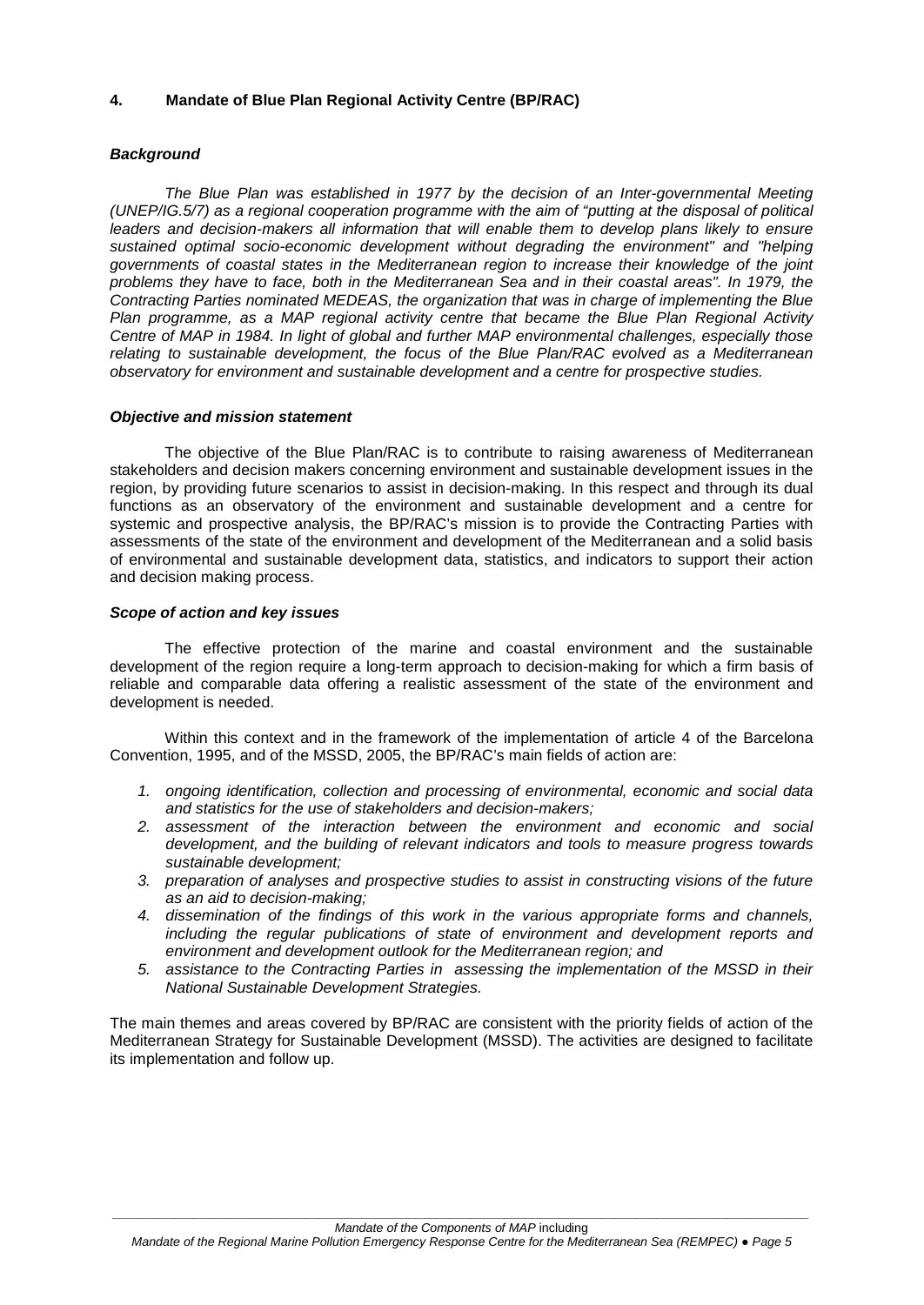#### **4. Mandate of Blue Plan Regional Activity Centre (BP/RAC)**

#### *Background*

*The Blue Plan was established in 1977 by the decision of an Inter-governmental Meeting (UNEP/IG.5/7) as a regional cooperation programme with the aim of "putting at the disposal of political*  leaders and decision-makers all information that will enable them to develop plans likely to ensure *sustained optimal socio-economic development without degrading the environment" and "helping governments of coastal states in the Mediterranean region to increase their knowledge of the joint problems they have to face, both in the Mediterranean Sea and in their coastal areas". In 1979, the Contracting Parties nominated MEDEAS, the organization that was in charge of implementing the Blue Plan programme, as a MAP regional activity centre that became the Blue Plan Regional Activity Centre of MAP in 1984. In light of global and further MAP environmental challenges, especially those relating to sustainable development, the focus of the Blue Plan/RAC evolved as a Mediterranean observatory for environment and sustainable development and a centre for prospective studies.*

#### *Objective and mission statement*

The objective of the Blue Plan/RAC is to contribute to raising awareness of Mediterranean stakeholders and decision makers concerning environment and sustainable development issues in the region, by providing future scenarios to assist in decision-making. In this respect and through its dual functions as an observatory of the environment and sustainable development and a centre for systemic and prospective analysis, the BP/RAC's mission is to provide the Contracting Parties with assessments of the state of the environment and development of the Mediterranean and a solid basis of environmental and sustainable development data, statistics, and indicators to support their action and decision making process.

#### *Scope of action and key issues*

The effective protection of the marine and coastal environment and the sustainable development of the region require a long-term approach to decision-making for which a firm basis of reliable and comparable data offering a realistic assessment of the state of the environment and development is needed.

Within this context and in the framework of the implementation of article 4 of the Barcelona Convention, 1995, and of the MSSD, 2005, the BP/RAC's main fields of action are:

- *1. ongoing identification, collection and processing of environmental, economic and social data and statistics for the use of stakeholders and decision-makers;*
- *2. assessment of the interaction between the environment and economic and social development, and the building of relevant indicators and tools to measure progress towards sustainable development;*
- *3. preparation of analyses and prospective studies to assist in constructing visions of the future as an aid to decision-making;*
- *4. dissemination of the findings of this work in the various appropriate forms and channels, including the regular publications of state of environment and development reports and environment and development outlook for the Mediterranean region; and*
- *5. assistance to the Contracting Parties in assessing the implementation of the MSSD in their National Sustainable Development Strategies.*

The main themes and areas covered by BP/RAC are consistent with the priority fields of action of the Mediterranean Strategy for Sustainable Development (MSSD). The activities are designed to facilitate its implementation and follow up.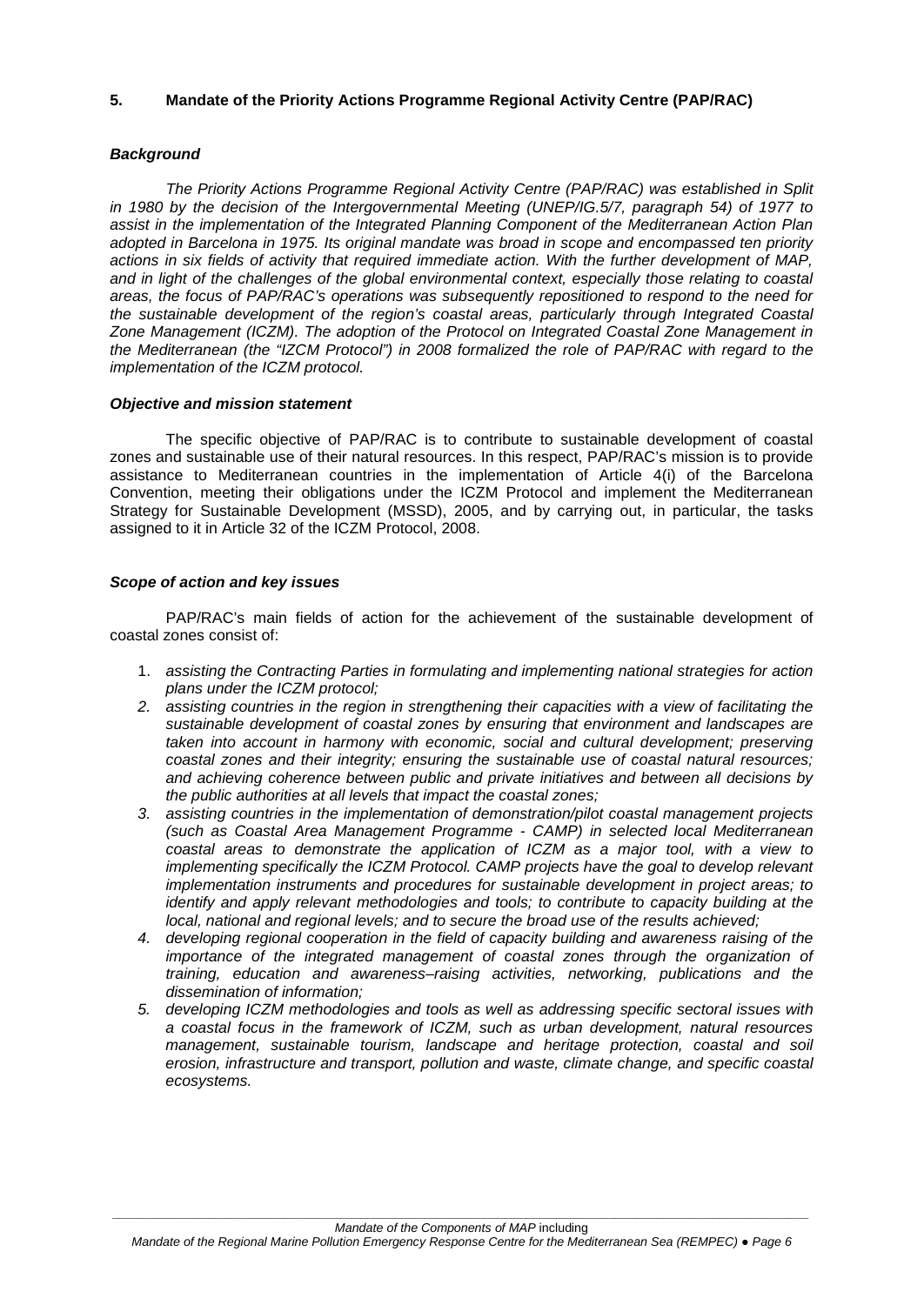#### **5. Mandate of the Priority Actions Programme Regional Activity Centre (PAP/RAC)**

#### *Background*

*The Priority Actions Programme Regional Activity Centre (PAP/RAC) was established in Split*  in 1980 by the decision of the Intergovernmental Meeting (UNEP/IG.5/7, paragraph 54) of 1977 to *assist in the implementation of the Integrated Planning Component of the Mediterranean Action Plan adopted in Barcelona in 1975. Its original mandate was broad in scope and encompassed ten priority actions in six fields of activity that required immediate action. With the further development of MAP, and in light of the challenges of the global environmental context, especially those relating to coastal areas, the focus of PAP/RAC's operations was subsequently repositioned to respond to the need for the sustainable development of the region's coastal areas, particularly through Integrated Coastal Zone Management (ICZM). The adoption of the Protocol on Integrated Coastal Zone Management in the Mediterranean (the "IZCM Protocol") in 2008 formalized the role of PAP/RAC with regard to the implementation of the ICZM protocol.*

#### *Objective and mission statement*

The specific objective of PAP/RAC is to contribute to sustainable development of coastal zones and sustainable use of their natural resources. In this respect, PAP/RAC's mission is to provide assistance to Mediterranean countries in the implementation of Article 4(i) of the Barcelona Convention, meeting their obligations under the ICZM Protocol and implement the Mediterranean Strategy for Sustainable Development (MSSD), 2005, and by carrying out, in particular, the tasks assigned to it in Article 32 of the ICZM Protocol, 2008.

#### *Scope of action and key issues*

PAP/RAC's main fields of action for the achievement of the sustainable development of coastal zones consist of:

- 1. *assisting the Contracting Parties in formulating and implementing national strategies for action plans under the ICZM protocol;*
- *2. assisting countries in the region in strengthening their capacities with a view of facilitating the sustainable development of coastal zones by ensuring that environment and landscapes are taken into account in harmony with economic, social and cultural development; preserving coastal zones and their integrity; ensuring the sustainable use of coastal natural resources; and achieving coherence between public and private initiatives and between all decisions by the public authorities at all levels that impact the coastal zones;*
- *3. assisting countries in the implementation of demonstration/pilot coastal management projects (such as Coastal Area Management Programme - CAMP) in selected local Mediterranean coastal areas to demonstrate the application of ICZM as a major tool, with a view to implementing specifically the ICZM Protocol. CAMP projects have the goal to develop relevant implementation instruments and procedures for sustainable development in project areas; to identify and apply relevant methodologies and tools; to contribute to capacity building at the local, national and regional levels; and to secure the broad use of the results achieved;*
- *4. developing regional cooperation in the field of capacity building and awareness raising of the importance of the integrated management of coastal zones through the organization of training, education and awareness–raising activities, networking, publications and the dissemination of information;*
- *5. developing ICZM methodologies and tools as well as addressing specific sectoral issues with a coastal focus in the framework of ICZM, such as urban development, natural resources management, sustainable tourism, landscape and heritage protection, coastal and soil erosion, infrastructure and transport, pollution and waste, climate change, and specific coastal ecosystems.*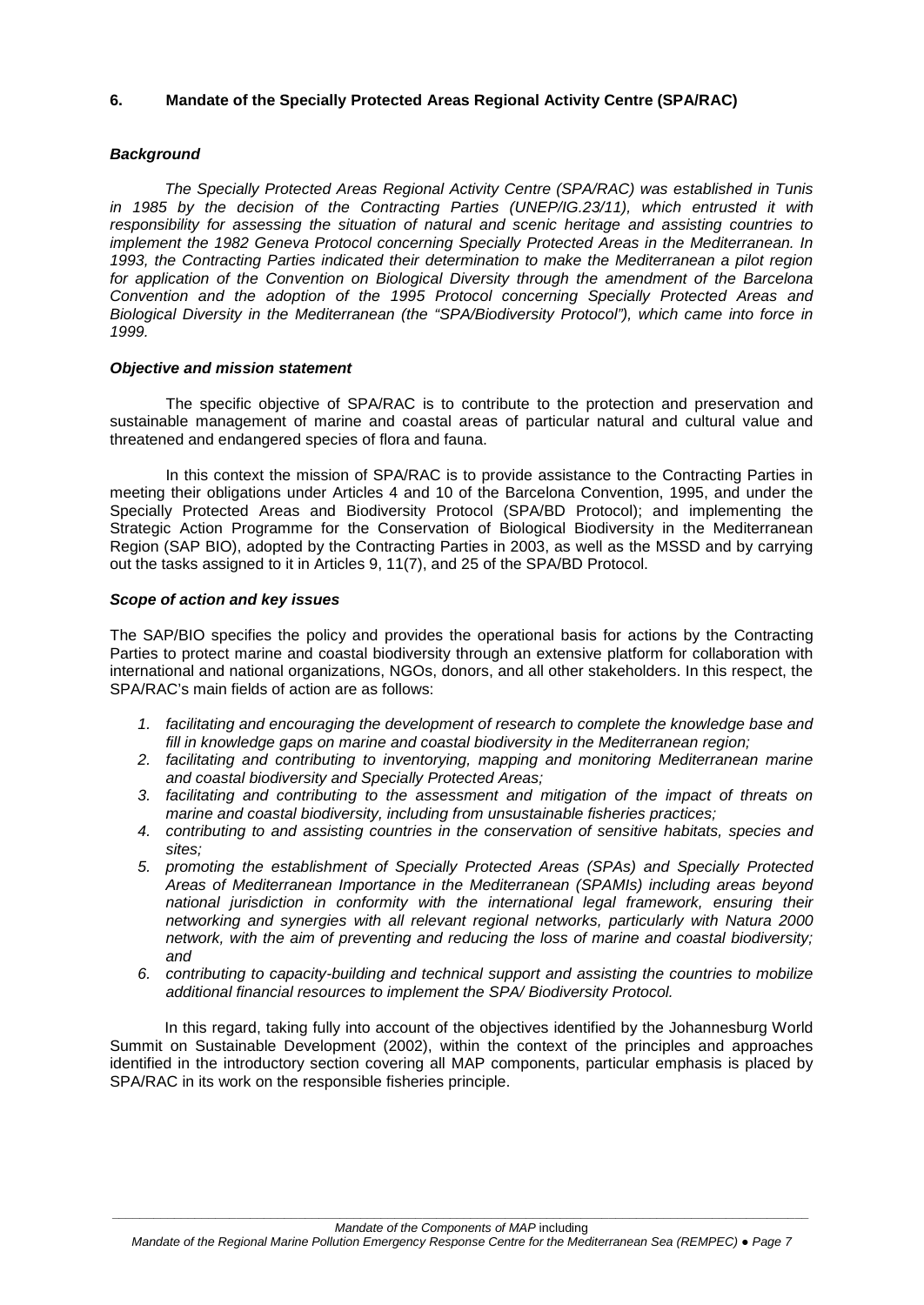#### **6. Mandate of the Specially Protected Areas Regional Activity Centre (SPA/RAC)**

#### *Background*

*The Specially Protected Areas Regional Activity Centre (SPA/RAC) was established in Tunis*  in 1985 by the decision of the Contracting Parties (UNEP/IG.23/11), which entrusted it with *responsibility for assessing the situation of natural and scenic heritage and assisting countries to implement the 1982 Geneva Protocol concerning Specially Protected Areas in the Mediterranean. In 1993, the Contracting Parties indicated their determination to make the Mediterranean a pilot region for application of the Convention on Biological Diversity through the amendment of the Barcelona Convention and the adoption of the 1995 Protocol concerning Specially Protected Areas and Biological Diversity in the Mediterranean (the "SPA/Biodiversity Protocol"), which came into force in 1999.* 

#### *Objective and mission statement*

The specific objective of SPA/RAC is to contribute to the protection and preservation and sustainable management of marine and coastal areas of particular natural and cultural value and threatened and endangered species of flora and fauna.

In this context the mission of SPA/RAC is to provide assistance to the Contracting Parties in meeting their obligations under Articles 4 and 10 of the Barcelona Convention, 1995, and under the Specially Protected Areas and Biodiversity Protocol (SPA/BD Protocol); and implementing the Strategic Action Programme for the Conservation of Biological Biodiversity in the Mediterranean Region (SAP BIO), adopted by the Contracting Parties in 2003, as well as the MSSD and by carrying out the tasks assigned to it in Articles 9, 11(7), and 25 of the SPA/BD Protocol.

#### *Scope of action and key issues*

The SAP/BIO specifies the policy and provides the operational basis for actions by the Contracting Parties to protect marine and coastal biodiversity through an extensive platform for collaboration with international and national organizations, NGOs, donors, and all other stakeholders. In this respect, the SPA/RAC's main fields of action are as follows:

- *1. facilitating and encouraging the development of research to complete the knowledge base and fill in knowledge gaps on marine and coastal biodiversity in the Mediterranean region;*
- *2. facilitating and contributing to inventorying, mapping and monitoring Mediterranean marine and coastal biodiversity and Specially Protected Areas;*
- *3. facilitating and contributing to the assessment and mitigation of the impact of threats on marine and coastal biodiversity, including from unsustainable fisheries practices;*
- *4. contributing to and assisting countries in the conservation of sensitive habitats, species and sites;*
- *5. promoting the establishment of Specially Protected Areas (SPAs) and Specially Protected Areas of Mediterranean Importance in the Mediterranean (SPAMIs) including areas beyond national jurisdiction in conformity with the international legal framework, ensuring their networking and synergies with all relevant regional networks, particularly with Natura 2000 network, with the aim of preventing and reducing the loss of marine and coastal biodiversity; and*
- *6. contributing to capacity-building and technical support and assisting the countries to mobilize additional financial resources to implement the SPA/ Biodiversity Protocol.*

In this regard, taking fully into account of the objectives identified by the Johannesburg World Summit on Sustainable Development (2002), within the context of the principles and approaches identified in the introductory section covering all MAP components, particular emphasis is placed by SPA/RAC in its work on the responsible fisheries principle.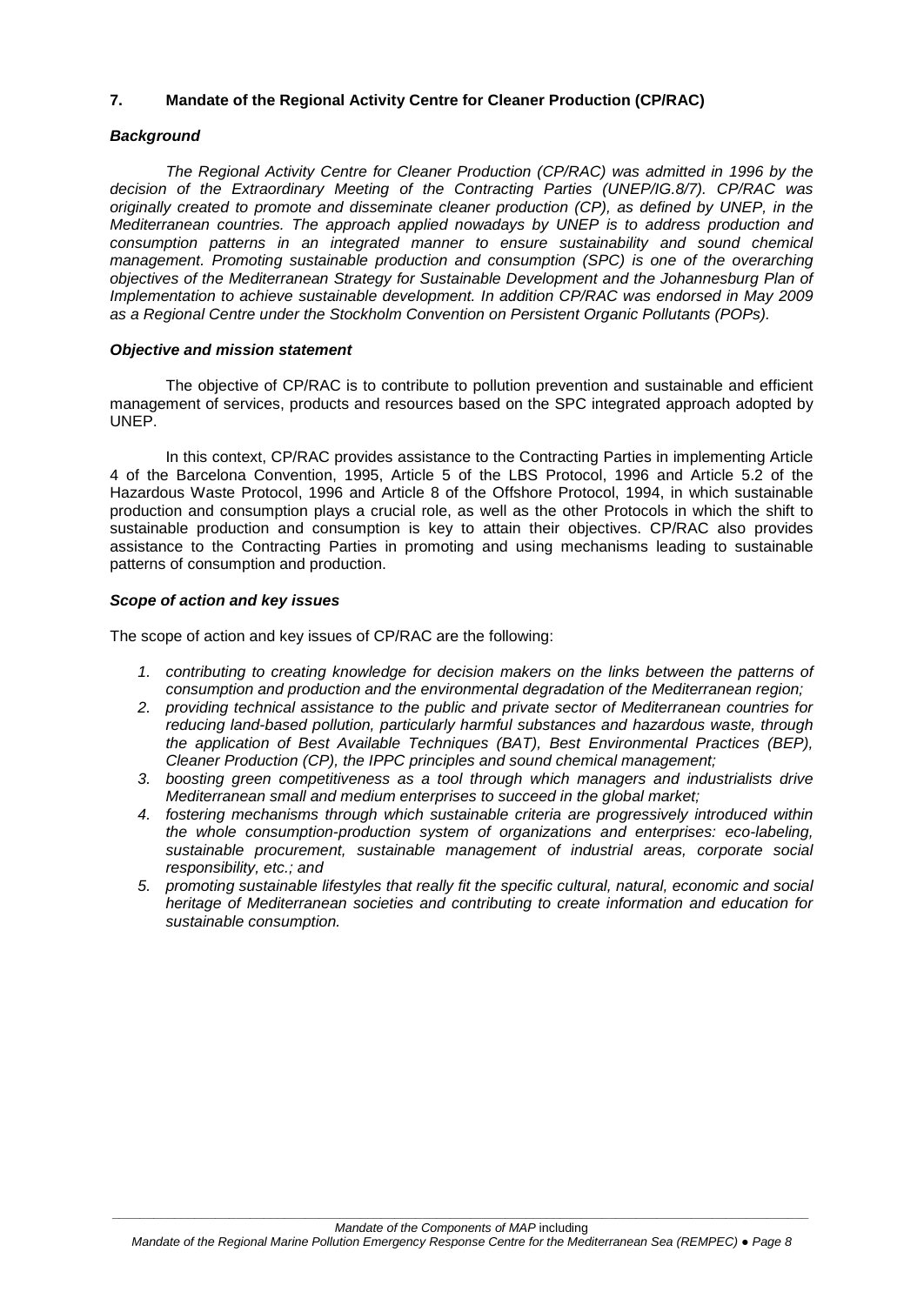#### **7. Mandate of the Regional Activity Centre for Cleaner Production (CP/RAC)**

#### *Background*

*The Regional Activity Centre for Cleaner Production (CP/RAC) was admitted in 1996 by the decision of the Extraordinary Meeting of the Contracting Parties (UNEP/IG.8/7). CP/RAC was originally created to promote and disseminate cleaner production (CP), as defined by UNEP, in the Mediterranean countries. The approach applied nowadays by UNEP is to address production and consumption patterns in an integrated manner to ensure sustainability and sound chemical management. Promoting sustainable production and consumption (SPC) is one of the overarching objectives of the Mediterranean Strategy for Sustainable Development and the Johannesburg Plan of Implementation to achieve sustainable development. In addition CP/RAC was endorsed in May 2009 as a Regional Centre under the Stockholm Convention on Persistent Organic Pollutants (POPs).* 

#### *Objective and mission statement*

The objective of CP/RAC is to contribute to pollution prevention and sustainable and efficient management of services, products and resources based on the SPC integrated approach adopted by UNEP.

In this context, CP/RAC provides assistance to the Contracting Parties in implementing Article 4 of the Barcelona Convention, 1995, Article 5 of the LBS Protocol, 1996 and Article 5.2 of the Hazardous Waste Protocol, 1996 and Article 8 of the Offshore Protocol, 1994, in which sustainable production and consumption plays a crucial role, as well as the other Protocols in which the shift to sustainable production and consumption is key to attain their objectives. CP/RAC also provides assistance to the Contracting Parties in promoting and using mechanisms leading to sustainable patterns of consumption and production.

#### *Scope of action and key issues*

The scope of action and key issues of CP/RAC are the following:

- *1. contributing to creating knowledge for decision makers on the links between the patterns of consumption and production and the environmental degradation of the Mediterranean region;*
- *2. providing technical assistance to the public and private sector of Mediterranean countries for reducing land-based pollution, particularly harmful substances and hazardous waste, through the application of Best Available Techniques (BAT), Best Environmental Practices (BEP), Cleaner Production (CP), the IPPC principles and sound chemical management;*
- *3. boosting green competitiveness as a tool through which managers and industrialists drive Mediterranean small and medium enterprises to succeed in the global market;*
- *4. fostering mechanisms through which sustainable criteria are progressively introduced within the whole consumption-production system of organizations and enterprises: eco-labeling, sustainable procurement, sustainable management of industrial areas, corporate social responsibility, etc.; and*
- *5. promoting sustainable lifestyles that really fit the specific cultural, natural, economic and social heritage of Mediterranean societies and contributing to create information and education for sustainable consumption.*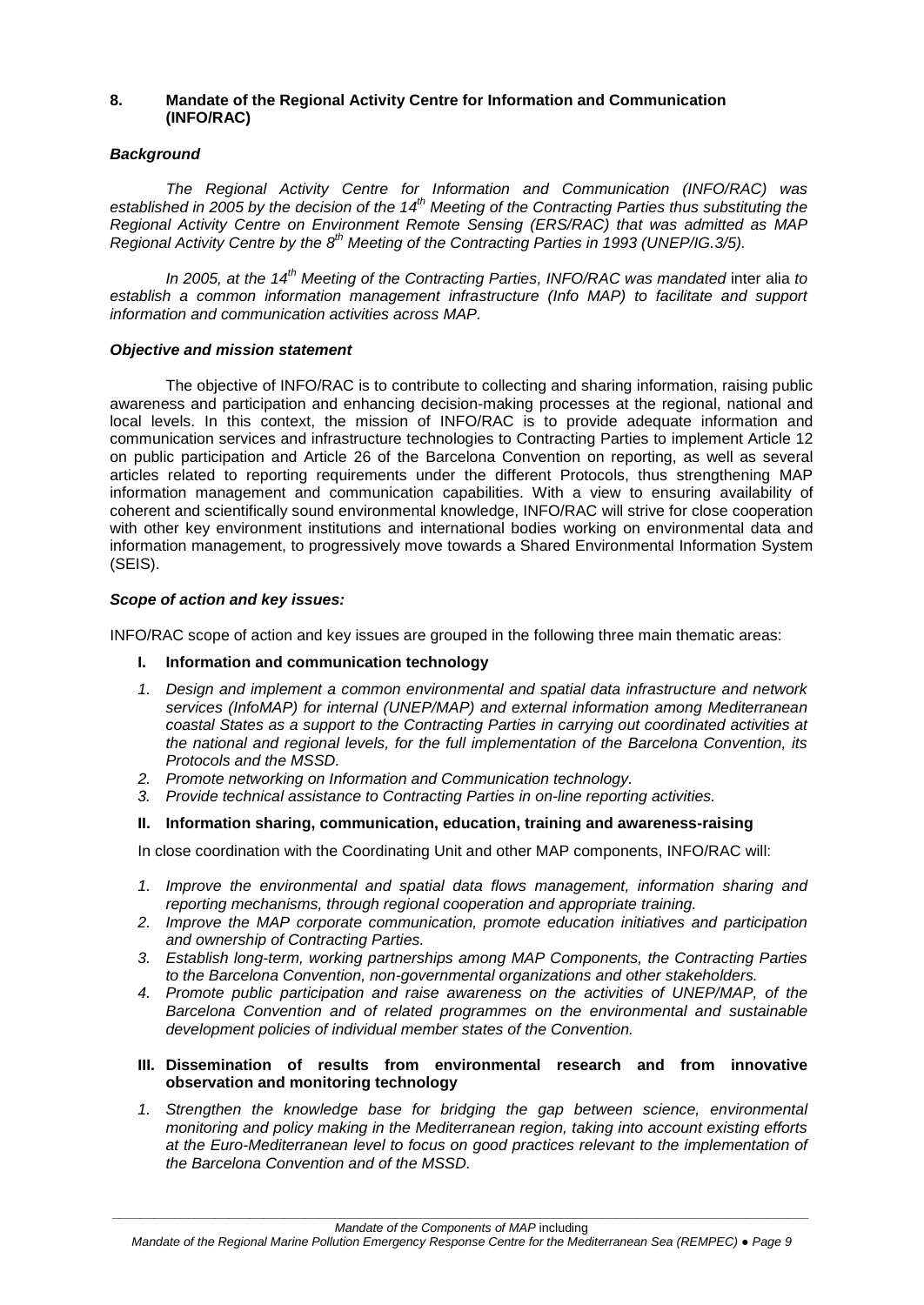#### **8. Mandate of the Regional Activity Centre for Information and Communication (INFO/RAC)**

#### *Background*

*The Regional Activity Centre for Information and Communication (INFO/RAC) was established in 2005 by the decision of the 14th Meeting of the Contracting Parties thus substituting the Regional Activity Centre on Environment Remote Sensing (ERS/RAC) that was admitted as MAP Regional Activity Centre by the 8th Meeting of the Contracting Parties in 1993 (UNEP/IG.3/5).*

*In 2005, at the 14th Meeting of the Contracting Parties, INFO/RAC was mandated* inter alia *to establish a common information management infrastructure (Info MAP) to facilitate and support information and communication activities across MAP.* 

#### *Objective and mission statement*

The objective of INFO/RAC is to contribute to collecting and sharing information, raising public awareness and participation and enhancing decision-making processes at the regional, national and local levels. In this context, the mission of INFO/RAC is to provide adequate information and communication services and infrastructure technologies to Contracting Parties to implement Article 12 on public participation and Article 26 of the Barcelona Convention on reporting, as well as several articles related to reporting requirements under the different Protocols, thus strengthening MAP information management and communication capabilities. With a view to ensuring availability of coherent and scientifically sound environmental knowledge, INFO/RAC will strive for close cooperation with other key environment institutions and international bodies working on environmental data and information management, to progressively move towards a Shared Environmental Information System (SEIS).

#### *Scope of action and key issues:*

INFO/RAC scope of action and key issues are grouped in the following three main thematic areas:

#### **I. Information and communication technology**

- *1. Design and implement a common environmental and spatial data infrastructure and network services (InfoMAP) for internal (UNEP/MAP) and external information among Mediterranean coastal States as a support to the Contracting Parties in carrying out coordinated activities at the national and regional levels, for the full implementation of the Barcelona Convention, its Protocols and the MSSD.*
- *2. Promote networking on Information and Communication technology.*
- *3. Provide technical assistance to Contracting Parties in on-line reporting activities.*

#### **II. Information sharing, communication, education, training and awareness-raising**

In close coordination with the Coordinating Unit and other MAP components, INFO/RAC will:

- *1. Improve the environmental and spatial data flows management, information sharing and reporting mechanisms, through regional cooperation and appropriate training.*
- *2. Improve the MAP corporate communication, promote education initiatives and participation and ownership of Contracting Parties.*
- *3. Establish long-term, working partnerships among MAP Components, the Contracting Parties to the Barcelona Convention, non-governmental organizations and other stakeholders.*
- *4. Promote public participation and raise awareness on the activities of UNEP/MAP, of the Barcelona Convention and of related programmes on the environmental and sustainable development policies of individual member states of the Convention.*

#### **III. Dissemination of results from environmental research and from innovative observation and monitoring technology**

*1. Strengthen the knowledge base for bridging the gap between science, environmental monitoring and policy making in the Mediterranean region, taking into account existing efforts at the Euro-Mediterranean level to focus on good practices relevant to the implementation of the Barcelona Convention and of the MSSD.*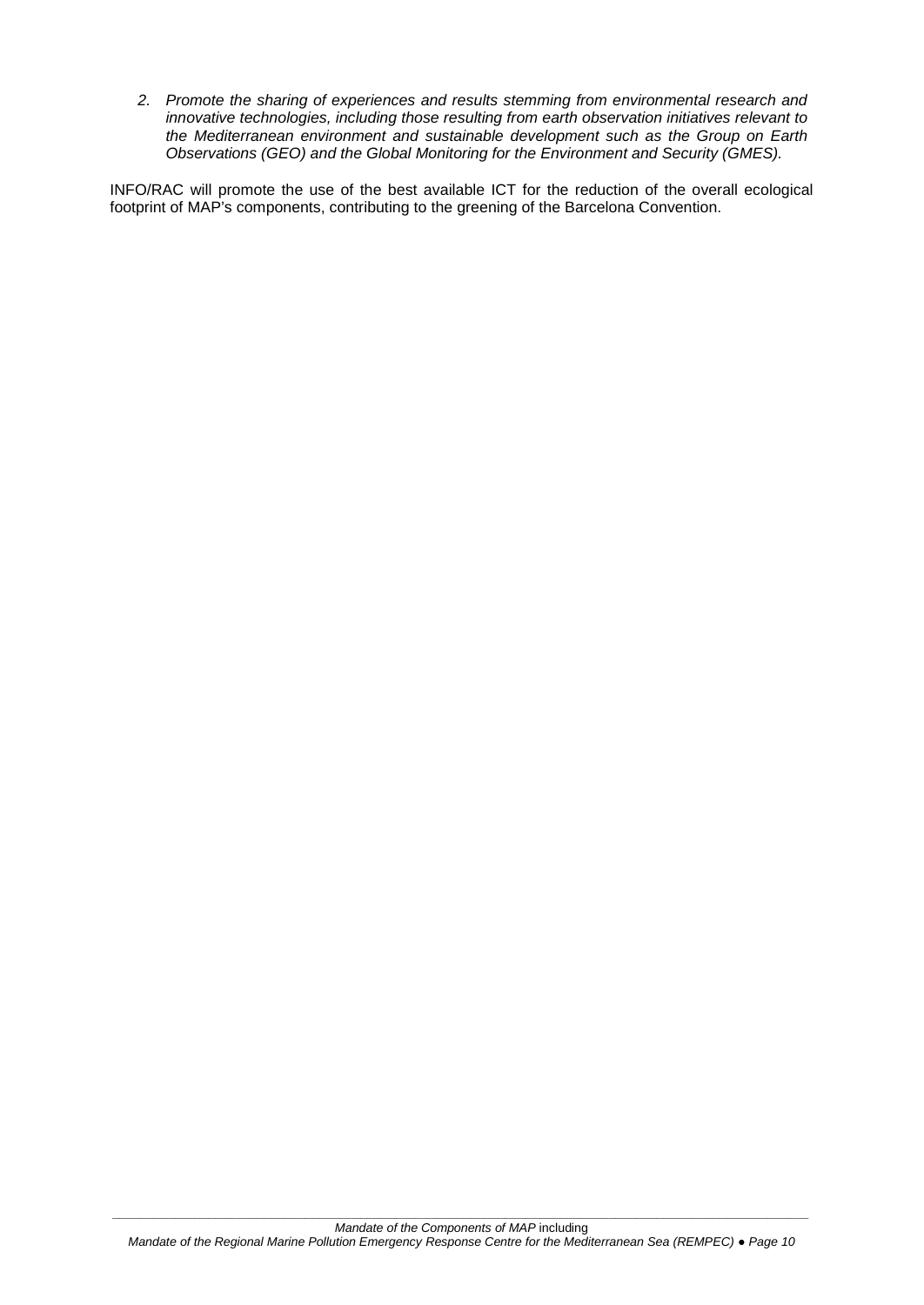*2. Promote the sharing of experiences and results stemming from environmental research and innovative technologies, including those resulting from earth observation initiatives relevant to the Mediterranean environment and sustainable development such as the Group on Earth Observations (GEO) and the Global Monitoring for the Environment and Security (GMES).*

INFO/RAC will promote the use of the best available ICT for the reduction of the overall ecological footprint of MAP's components, contributing to the greening of the Barcelona Convention.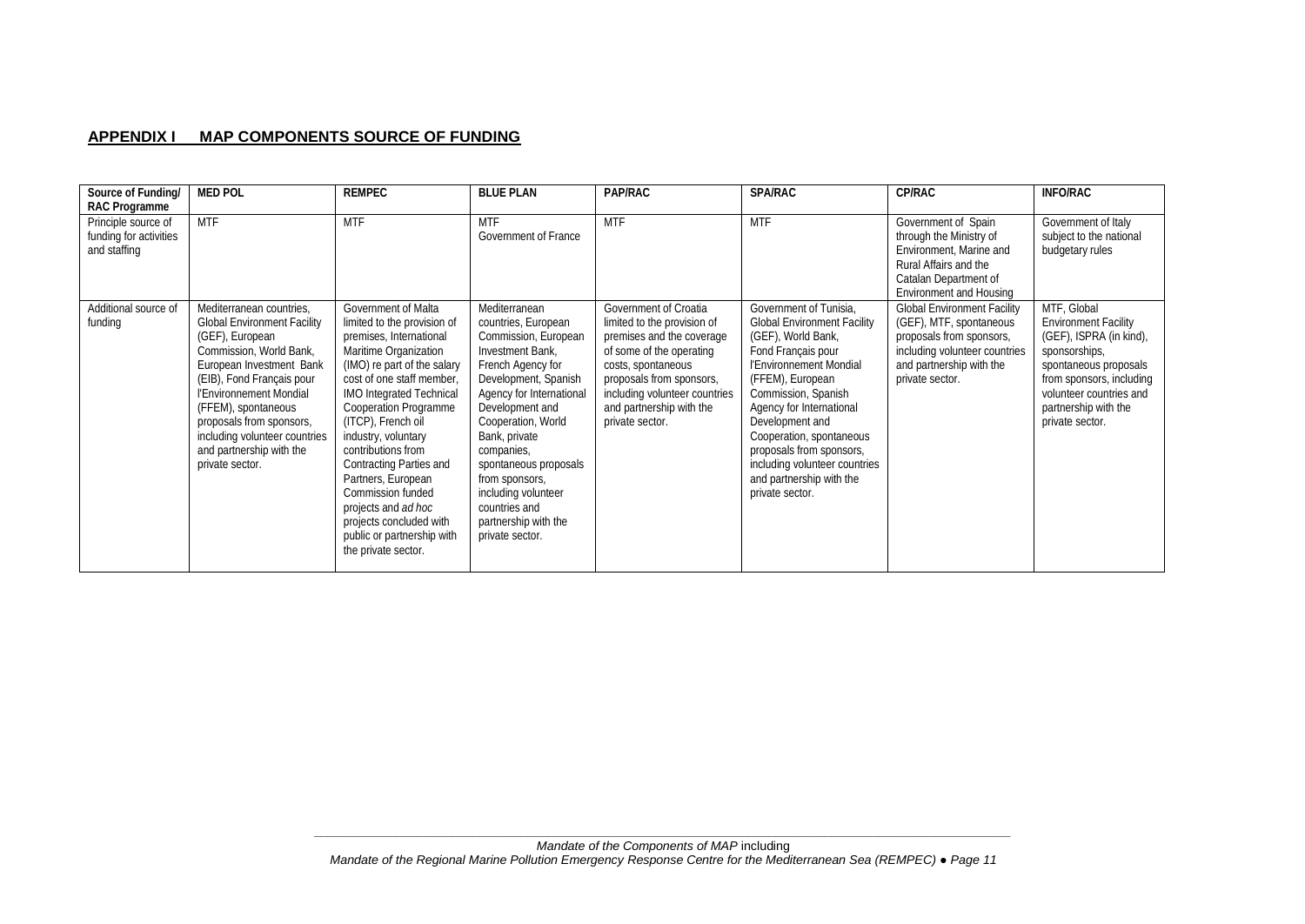#### **APPENDIX I MAP COMPONENTS SOURCE OF FUNDING**

| Source of Funding/<br>RAC Programme                           | <b>MED POL</b>                                                                                                                                                                                                                                                                                                                      | <b>REMPEC</b>                                                                                                                                                                                                                                                                                                                                                                                                                                                           | <b>BLUE PLAN</b>                                                                                                                                                                                                                                                                                                                                                | PAP/RAC                                                                                                                                                                                                                                         | <b>SPA/RAC</b>                                                                                                                                                                                                                                                                                                                                                        | CP/RAC                                                                                                                                                                    | <b>INFO/RAC</b>                                                                                                                                                                                                   |
|---------------------------------------------------------------|-------------------------------------------------------------------------------------------------------------------------------------------------------------------------------------------------------------------------------------------------------------------------------------------------------------------------------------|-------------------------------------------------------------------------------------------------------------------------------------------------------------------------------------------------------------------------------------------------------------------------------------------------------------------------------------------------------------------------------------------------------------------------------------------------------------------------|-----------------------------------------------------------------------------------------------------------------------------------------------------------------------------------------------------------------------------------------------------------------------------------------------------------------------------------------------------------------|-------------------------------------------------------------------------------------------------------------------------------------------------------------------------------------------------------------------------------------------------|-----------------------------------------------------------------------------------------------------------------------------------------------------------------------------------------------------------------------------------------------------------------------------------------------------------------------------------------------------------------------|---------------------------------------------------------------------------------------------------------------------------------------------------------------------------|-------------------------------------------------------------------------------------------------------------------------------------------------------------------------------------------------------------------|
| Principle source of<br>funding for activities<br>and staffing | <b>MTF</b>                                                                                                                                                                                                                                                                                                                          | <b>MTF</b>                                                                                                                                                                                                                                                                                                                                                                                                                                                              | <b>MTF</b><br>Government of France                                                                                                                                                                                                                                                                                                                              | <b>MTF</b>                                                                                                                                                                                                                                      | <b>MTF</b>                                                                                                                                                                                                                                                                                                                                                            | Government of Spain<br>through the Ministry of<br>Environment, Marine and<br>Rural Affairs and the<br>Catalan Department of<br><b>Environment and Housing</b>             | Government of Italy<br>subject to the national<br>budgetary rules                                                                                                                                                 |
| Additional source of<br>funding                               | Mediterranean countries,<br><b>Global Environment Facility</b><br>(GEF), European<br>Commission, World Bank,<br>European Investment Bank<br>(EIB), Fond Français pour<br>l'Environnement Mondial<br>(FFEM), spontaneous<br>proposals from sponsors,<br>including volunteer countries<br>and partnership with the<br>private sector. | Government of Malta<br>limited to the provision of<br>premises, International<br>Maritime Organization<br>(IMO) re part of the salary<br>cost of one staff member.<br>IMO Integrated Technical<br>Cooperation Programme<br>(ITCP), French oil<br>industry, voluntary<br>contributions from<br>Contracting Parties and<br>Partners, European<br>Commission funded<br>projects and ad hoc<br>projects concluded with<br>public or partnership with<br>the private sector. | Mediterranean<br>countries, European<br>Commission, European<br>Investment Bank.<br>French Agency for<br>Development, Spanish<br>Agency for International<br>Development and<br>Cooperation, World<br>Bank, private<br>companies,<br>spontaneous proposals<br>from sponsors,<br>including volunteer<br>countries and<br>partnership with the<br>private sector. | Government of Croatia<br>limited to the provision of<br>premises and the coverage<br>of some of the operating<br>costs, spontaneous<br>proposals from sponsors,<br>including volunteer countries<br>and partnership with the<br>private sector. | Government of Tunisia,<br><b>Global Environment Facility</b><br>(GEF), World Bank,<br>Fond Français pour<br>l'Environnement Mondial<br>(FFEM), European<br>Commission, Spanish<br>Agency for International<br>Development and<br>Cooperation, spontaneous<br>proposals from sponsors,<br>including volunteer countries<br>and partnership with the<br>private sector. | <b>Global Environment Facility</b><br>(GEF), MTF, spontaneous<br>proposals from sponsors,<br>including volunteer countries<br>and partnership with the<br>private sector. | MTF, Global<br><b>Environment Facility</b><br>(GEF), ISPRA (in kind),<br>sponsorships,<br>spontaneous proposals<br>from sponsors, including<br>volunteer countries and<br>partnership with the<br>private sector. |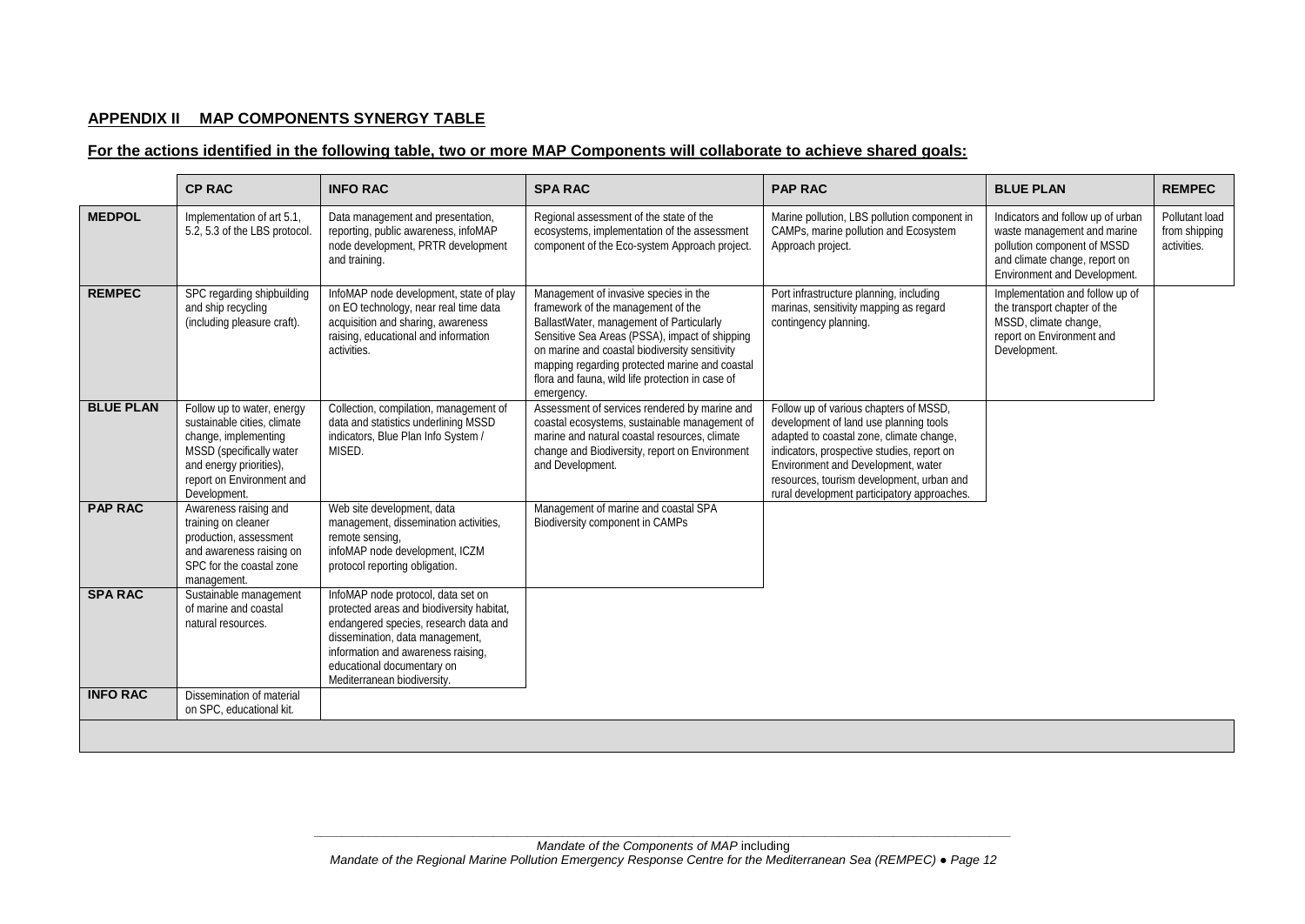### **APPENDIX II MAP COMPONENTS SYNERGY TABLE**

#### **For the actions identified in the following table, two or more MAP Components will collaborate to achieve shared goals:**

|                  | <b>CP RAC</b>                                                                                                                                                                         | <b>INFO RAC</b>                                                                                                                                                                                                                                                | <b>SPARAC</b>                                                                                                                                                                                                                                                                                                                                   | <b>PAP RAC</b>                                                                                                                                                                                                                                                                                               | <b>BLUE PLAN</b>                                                                                                                                                 | <b>REMPEC</b>                                  |
|------------------|---------------------------------------------------------------------------------------------------------------------------------------------------------------------------------------|----------------------------------------------------------------------------------------------------------------------------------------------------------------------------------------------------------------------------------------------------------------|-------------------------------------------------------------------------------------------------------------------------------------------------------------------------------------------------------------------------------------------------------------------------------------------------------------------------------------------------|--------------------------------------------------------------------------------------------------------------------------------------------------------------------------------------------------------------------------------------------------------------------------------------------------------------|------------------------------------------------------------------------------------------------------------------------------------------------------------------|------------------------------------------------|
| <b>MEDPOL</b>    | Implementation of art 5.1,<br>5.2, 5.3 of the LBS protocol.                                                                                                                           | Data management and presentation,<br>reporting, public awareness, infoMAP<br>node development, PRTR development<br>and training.                                                                                                                               | Regional assessment of the state of the<br>ecosystems, implementation of the assessment<br>component of the Eco-system Approach project.                                                                                                                                                                                                        | Marine pollution, LBS pollution component in<br>CAMPs, marine pollution and Ecosystem<br>Approach project.                                                                                                                                                                                                   | Indicators and follow up of urban<br>waste management and marine<br>pollution component of MSSD<br>and climate change, report on<br>Environment and Development. | Pollutant load<br>from shipping<br>activities. |
| <b>REMPEC</b>    | SPC regarding shipbuilding<br>and ship recycling<br>(including pleasure craft).                                                                                                       | InfoMAP node development, state of play<br>on EO technology, near real time data<br>acquisition and sharing, awareness<br>raising, educational and information<br>activities.                                                                                  | Management of invasive species in the<br>framework of the management of the<br>BallastWater, management of Particularly<br>Sensitive Sea Areas (PSSA), impact of shipping<br>on marine and coastal biodiversity sensitivity<br>mapping regarding protected marine and coastal<br>flora and fauna, wild life protection in case of<br>emergency. | Port infrastructure planning, including<br>marinas, sensitivity mapping as regard<br>contingency planning.                                                                                                                                                                                                   | Implementation and follow up of<br>the transport chapter of the<br>MSSD, climate change,<br>report on Environment and<br>Development.                            |                                                |
| <b>BLUE PLAN</b> | Follow up to water, energy<br>sustainable cities, climate<br>change, implementing<br>MSSD (specifically water<br>and energy priorities),<br>report on Environment and<br>Development. | Collection, compilation, management of<br>data and statistics underlining MSSD<br>indicators, Blue Plan Info System /<br>MISED.                                                                                                                                | Assessment of services rendered by marine and<br>coastal ecosystems, sustainable management of<br>marine and natural coastal resources, climate<br>change and Biodiversity, report on Environment<br>and Development.                                                                                                                           | Follow up of various chapters of MSSD,<br>development of land use planning tools<br>adapted to coastal zone, climate change,<br>indicators, prospective studies, report on<br>Environment and Development, water<br>resources, tourism development, urban and<br>rural development participatory approaches. |                                                                                                                                                                  |                                                |
| <b>PAP RAC</b>   | Awareness raising and<br>training on cleaner<br>production, assessment<br>and awareness raising on<br>SPC for the coastal zone<br>management.                                         | Web site development, data<br>management, dissemination activities,<br>remote sensing,<br>infoMAP node development, ICZM<br>protocol reporting obligation.                                                                                                     | Management of marine and coastal SPA<br><b>Biodiversity component in CAMPs</b>                                                                                                                                                                                                                                                                  |                                                                                                                                                                                                                                                                                                              |                                                                                                                                                                  |                                                |
| <b>SPA RAC</b>   | Sustainable management<br>of marine and coastal<br>natural resources.                                                                                                                 | InfoMAP node protocol, data set on<br>protected areas and biodiversity habitat,<br>endangered species, research data and<br>dissemination, data management,<br>information and awareness raising,<br>educational documentary on<br>Mediterranean biodiversity. |                                                                                                                                                                                                                                                                                                                                                 |                                                                                                                                                                                                                                                                                                              |                                                                                                                                                                  |                                                |
| <b>INFO RAC</b>  | Dissemination of material<br>on SPC, educational kit.                                                                                                                                 |                                                                                                                                                                                                                                                                |                                                                                                                                                                                                                                                                                                                                                 |                                                                                                                                                                                                                                                                                                              |                                                                                                                                                                  |                                                |
|                  |                                                                                                                                                                                       |                                                                                                                                                                                                                                                                |                                                                                                                                                                                                                                                                                                                                                 |                                                                                                                                                                                                                                                                                                              |                                                                                                                                                                  |                                                |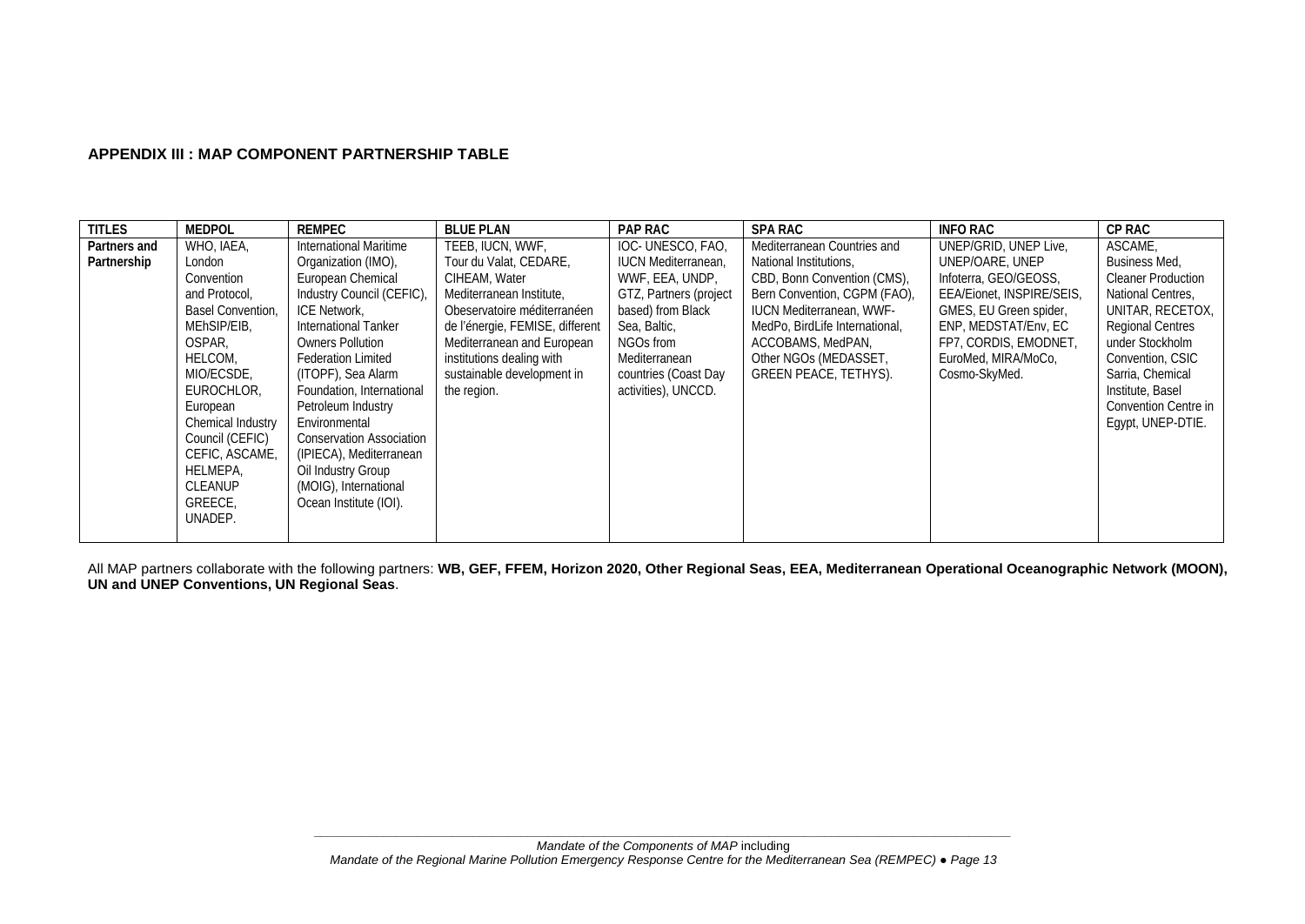## **APPENDIX III : MAP COMPONENT PARTNERSHIP TABLE**

| <b>TITLES</b> | <b>MEDPOL</b>     | <b>REMPEC</b>                   | <b>BLUE PLAN</b>                | <b>PAP RAC</b>             | <b>SPA RAC</b>                  | <b>INFO RAC</b>           | <b>CP RAC</b>             |
|---------------|-------------------|---------------------------------|---------------------------------|----------------------------|---------------------------------|---------------------------|---------------------------|
| Partners and  | WHO, IAEA,        | International Maritime          | TEEB. IUCN. WWF.                | IOC-UNESCO, FAO,           | Mediterranean Countries and     | UNEP/GRID, UNEP Live,     | ASCAME.                   |
| Partnership   | London            | Organization (IMO),             | Tour du Valat, CEDARE,          | <b>IUCN Mediterranean,</b> | National Institutions,          | UNEP/OARE, UNEP           | Business Med.             |
|               | Convention        | European Chemical               | CIHEAM, Water                   | WWF, EEA, UNDP,            | CBD, Bonn Convention (CMS),     | Infoterra, GEO/GEOSS,     | <b>Cleaner Production</b> |
|               | and Protocol,     | Industry Council (CEFIC),       | Mediterranean Institute.        | GTZ, Partners (project     | Bern Convention, CGPM (FAO),    | EEA/Eionet, INSPIRE/SEIS. | National Centres.         |
|               | Basel Convention. | ICE Network.                    | Obeservatoire méditerranéen     | based) from Black          | <b>IUCN Mediterranean, WWF-</b> | GMES, EU Green spider,    | UNITAR, RECETOX,          |
|               | MEhSIP/EIB,       | <b>International Tanker</b>     | de l'énergie, FEMISE, different | Sea, Baltic,               | MedPo, BirdLife International,  | ENP, MEDSTAT/Env, EC      | <b>Regional Centres</b>   |
|               | OSPAR,            | <b>Owners Pollution</b>         | Mediterranean and European      | NGOs from                  | ACCOBAMS, MedPAN,               | FP7, CORDIS, EMODNET,     | under Stockholm           |
|               | HELCOM,           | <b>Federation Limited</b>       | institutions dealing with       | Mediterranean              | Other NGOs (MEDASSET,           | EuroMed, MIRA/MoCo,       | Convention, CSIC          |
|               | MIO/ECSDE.        | (ITOPF), Sea Alarm              | sustainable development in      | countries (Coast Day       | GREEN PEACE, TETHYS).           | Cosmo-SkyMed.             | Sarria, Chemical          |
|               | EUROCHLOR,        | Foundation, International       | the region.                     | activities), UNCCD.        |                                 |                           | Institute, Basel          |
|               | European          | Petroleum Industry              |                                 |                            |                                 |                           | Convention Centre in      |
|               | Chemical Industry | Environmental                   |                                 |                            |                                 |                           | Egypt, UNEP-DTIE.         |
|               | Council (CEFIC)   | <b>Conservation Association</b> |                                 |                            |                                 |                           |                           |
|               | CEFIC, ASCAME,    | (IPIECA), Mediterranean         |                                 |                            |                                 |                           |                           |
|               | HELMEPA.          | Oil Industry Group              |                                 |                            |                                 |                           |                           |
|               | <b>CLEANUP</b>    | (MOIG), International           |                                 |                            |                                 |                           |                           |
|               | GREECE.           | Ocean Institute (IOI).          |                                 |                            |                                 |                           |                           |
|               | UNADEP.           |                                 |                                 |                            |                                 |                           |                           |
|               |                   |                                 |                                 |                            |                                 |                           |                           |

All MAP partners collaborate with the following partners: **WB, GEF, FFEM, Horizon 2020, Other Regional Seas, EEA, Mediterranean Operational Oceanographic Network (MOON), UN and UNEP Conventions, UN Regional Seas**.